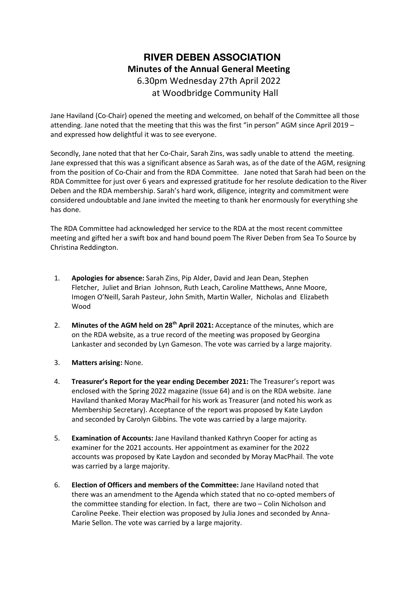## **RIVER DEBEN ASSOCIATION Minutes of the Annual General Meeting** 6.30pm Wednesday 27th April 2022 at Woodbridge Community Hall

Jane Haviland (Co-Chair) opened the meeting and welcomed, on behalf of the Committee all those attending. Jane noted that the meeting that this was the first "in person" AGM since April 2019 – and expressed how delightful it was to see everyone.

Secondly, Jane noted that that her Co-Chair, Sarah Zins, was sadly unable to attend the meeting. Jane expressed that this was a significant absence as Sarah was, as of the date of the AGM, resigning from the position of Co-Chair and from the RDA Committee. Jane noted that Sarah had been on the RDA Committee for just over 6 years and expressed gratitude for her resolute dedication to the River Deben and the RDA membership. Sarah's hard work, diligence, integrity and commitment were considered undoubtable and Jane invited the meeting to thank her enormously for everything she has done.

The RDA Committee had acknowledged her service to the RDA at the most recent committee meeting and gifted her a swift box and hand bound poem The River Deben from Sea To Source by Christina Reddington.

- 1. **Apologies for absence:** Sarah Zins, Pip Alder, David and Jean Dean, Stephen Fletcher, Juliet and Brian Johnson, Ruth Leach, Caroline Matthews, Anne Moore, Imogen O'Neill, Sarah Pasteur, John Smith, Martin Waller, Nicholas and Elizabeth Wood
- 2. **Minutes of the AGM held on 28th April 2021:** Acceptance of the minutes, which are on the RDA website, as a true record of the meeting was proposed by Georgina Lankaster and seconded by Lyn Gameson. The vote was carried by a large majority.
- 3. **Matters arising:** None.
- 4. **Treasurer's Report for the year ending December 2021:** The Treasurer's report was enclosed with the Spring 2022 magazine (Issue 64) and is on the RDA website. Jane Haviland thanked Moray MacPhail for his work as Treasurer (and noted his work as Membership Secretary). Acceptance of the report was proposed by Kate Laydon and seconded by Carolyn Gibbins. The vote was carried by a large majority.
- 5. **Examination of Accounts:** Jane Haviland thanked Kathryn Cooper for acting as examiner for the 2021 accounts. Her appointment as examiner for the 2022 accounts was proposed by Kate Laydon and seconded by Moray MacPhail. The vote was carried by a large majority.
- 6. **Election of Officers and members of the Committee:** Jane Haviland noted that there was an amendment to the Agenda which stated that no co-opted members of the committee standing for election. In fact, there are two – Colin Nicholson and Caroline Peeke. Their election was proposed by Julia Jones and seconded by Anna-Marie Sellon. The vote was carried by a large majority.